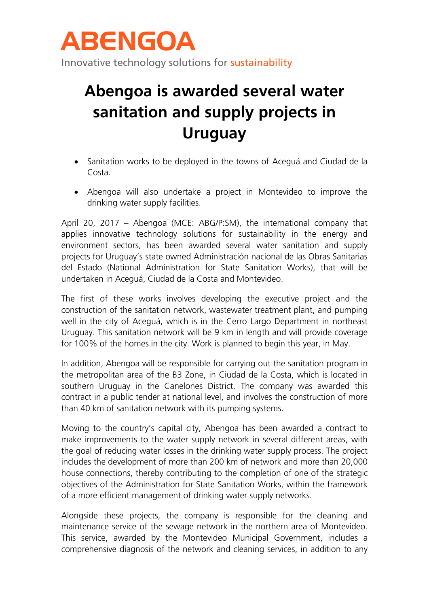

## **Abengoa is awarded several water sanitation and supply projects in Uruguay**

- Sanitation works to be deployed in the towns of Aceguá and Ciudad de la Costa.
- Abengoa will also undertake a project in Montevideo to improve the drinking water supply facilities.

April 20, 2017 – Abengoa (MCE: ABG/P:SM), the international company that applies innovative technology solutions for sustainability in the energy and environment sectors, has been awarded several water sanitation and supply projects for Uruguay's state owned Administración nacional de las Obras Sanitarias del Estado (National Administration for State Sanitation Works), that will be undertaken in Aceguá, Ciudad de la Costa and Montevideo.

The first of these works involves developing the executive project and the construction of the sanitation network, wastewater treatment plant, and pumping well in the city of Aceguá, which is in the Cerro Largo Department in northeast Uruguay. This sanitation network will be 9 km in length and will provide coverage for 100% of the homes in the city. Work is planned to begin this year, in May.

In addition, Abengoa will be responsible for carrying out the sanitation program in the metropolitan area of the B3 Zone, in Ciudad de la Costa, which is located in southern Uruguay in the Canelones District. The company was awarded this contract in a public tender at national level, and involves the construction of more than 40 km of sanitation network with its pumping systems.

Moving to the country's capital city, Abengoa has been awarded a contract to make improvements to the water supply network in several different areas, with the goal of reducing water losses in the drinking water supply process. The project includes the development of more than 200 km of network and more than 20,000 house connections, thereby contributing to the completion of one of the strategic objectives of the Administration for State Sanitation Works, within the framework of a more efficient management of drinking water supply networks.

Alongside these projects, the company is responsible for the cleaning and maintenance service of the sewage network in the northern area of Montevideo. This service, awarded by the Montevideo Municipal Government, includes a comprehensive diagnosis of the network and cleaning services, in addition to any